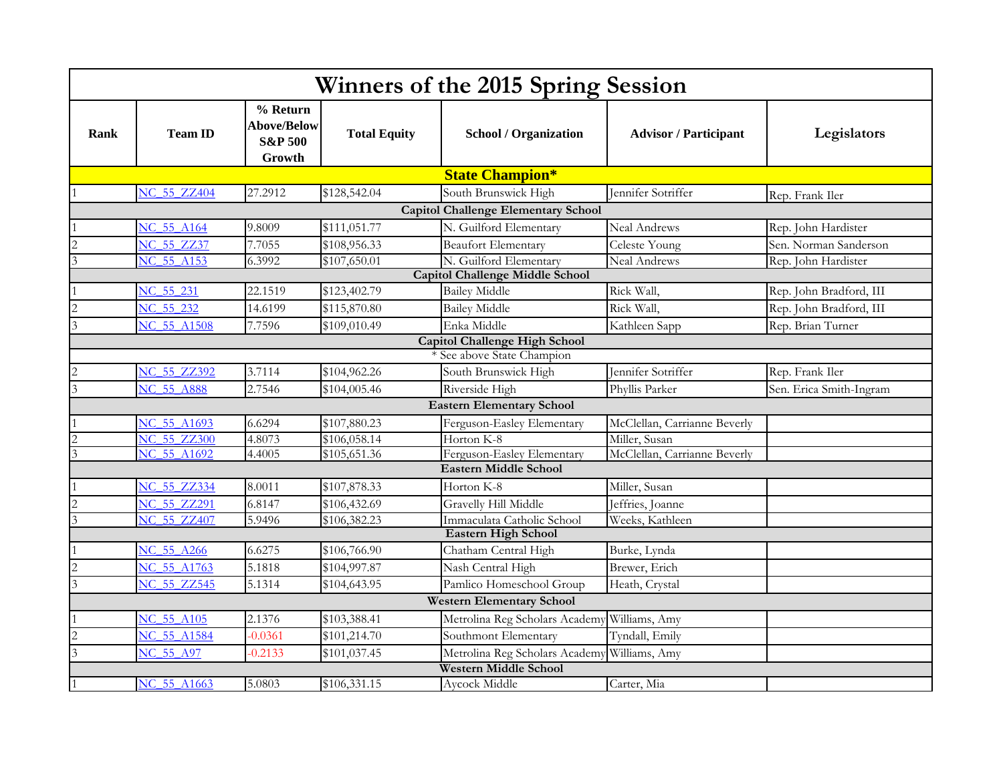| Winners of the 2015 Spring Session         |                    |                                                                |                     |                                  |                              |                         |  |  |  |  |
|--------------------------------------------|--------------------|----------------------------------------------------------------|---------------------|----------------------------------|------------------------------|-------------------------|--|--|--|--|
| <b>Rank</b>                                | <b>Team ID</b>     | % Return<br><b>Above/Below</b><br><b>S&amp;P 500</b><br>Growth | <b>Total Equity</b> | <b>School / Organization</b>     | <b>Advisor / Participant</b> | Legislators             |  |  |  |  |
|                                            |                    |                                                                |                     | <b>State Champion*</b>           |                              |                         |  |  |  |  |
|                                            | <b>NC 55 ZZ404</b> | 27.2912                                                        | \$128,542.04        | South Brunswick High             | Jennifer Sotriffer           | Rep. Frank Iler         |  |  |  |  |
| <b>Capitol Challenge Elementary School</b> |                    |                                                                |                     |                                  |                              |                         |  |  |  |  |
|                                            | NC 55 A164         | 9.8009                                                         | \$111,051.77        | N. Guilford Elementary           | <b>Neal Andrews</b>          | Rep. John Hardister     |  |  |  |  |
| $\overline{c}$                             | NC 55 ZZ37         | 7.7055                                                         | \$108,956.33        | <b>Beaufort Elementary</b>       | Celeste Young                | Sen. Norman Sanderson   |  |  |  |  |
| $\overline{3}$                             | <b>NC 55 A153</b>  | 6.3992                                                         | \$107,650.01        | N. Guilford Elementary           | <b>Neal Andrews</b>          | Rep. John Hardister     |  |  |  |  |
| <b>Capitol Challenge Middle School</b>     |                    |                                                                |                     |                                  |                              |                         |  |  |  |  |
|                                            | NC 55 231          | 22.1519                                                        | \$123,402.79        | <b>Bailey Middle</b>             | Rick Wall,                   | Rep. John Bradford, III |  |  |  |  |
| $\overline{c}$                             | NC 55 232          | 14.6199                                                        | \$115,870.80        | <b>Bailey Middle</b>             | Rick Wall,                   | Rep. John Bradford, III |  |  |  |  |
| 3                                          | NC 55 A1508        | 7.7596                                                         | \$109,010.49        | Enka Middle                      | Kathleen Sapp                | Rep. Brian Turner       |  |  |  |  |
| <b>Capitol Challenge High School</b>       |                    |                                                                |                     |                                  |                              |                         |  |  |  |  |
|                                            |                    |                                                                |                     | * See above State Champion       |                              |                         |  |  |  |  |
|                                            | NC 55 ZZ392        | 3.7114                                                         | \$104,962.26        | South Brunswick High             | Jennifer Sotriffer           | Rep. Frank Iler         |  |  |  |  |
|                                            | <b>NC 55 A888</b>  | 2.7546                                                         | \$104,005.46        | Riverside High                   | Phyllis Parker               | Sen. Erica Smith-Ingram |  |  |  |  |
| <b>Eastern Elementary School</b>           |                    |                                                                |                     |                                  |                              |                         |  |  |  |  |
|                                            | NC 55 A1693        | 6.6294                                                         | \$107,880.23        | Ferguson-Easley Elementary       | McClellan, Carrianne Beverly |                         |  |  |  |  |
|                                            | <b>NC 55 ZZ300</b> | 4.8073                                                         | \$106,058.14        | Horton K-8                       | Miller, Susan                |                         |  |  |  |  |
| 3                                          | NC 55 A1692        | 4.4005                                                         | \$105,651.36        | Ferguson-Easley Elementary       | McClellan, Carrianne Beverly |                         |  |  |  |  |
| <b>Eastern Middle School</b>               |                    |                                                                |                     |                                  |                              |                         |  |  |  |  |
|                                            | NC 55 ZZ334        | 8.0011                                                         | \$107,878.33        | Horton K-8                       | Miller, Susan                |                         |  |  |  |  |
| $\overline{c}$                             | <b>NC 55 ZZ291</b> | 6.8147                                                         | \$106,432.69        | Gravelly Hill Middle             | Jeffries, Joanne             |                         |  |  |  |  |
| $\overline{3}$                             | <b>NC 55 ZZ407</b> | 5.9496                                                         | \$106,382.23        | Immaculata Catholic School       | Weeks, Kathleen              |                         |  |  |  |  |
| <b>Eastern High School</b>                 |                    |                                                                |                     |                                  |                              |                         |  |  |  |  |
|                                            | NC 55 A266         | 6.6275                                                         | \$106,766.90        | Chatham Central High             | Burke, Lynda                 |                         |  |  |  |  |
| $\overline{2}$                             | NC 55 A1763        | 5.1818                                                         | \$104,997.87        | Nash Central High                | Brewer, Erich                |                         |  |  |  |  |
| $\overline{3}$                             | NC 55 ZZ545        | 5.1314                                                         | \$104,643.95        | Pamlico Homeschool Group         | Heath, Crystal               |                         |  |  |  |  |
|                                            |                    |                                                                |                     | <b>Western Elementary School</b> |                              |                         |  |  |  |  |
|                                            | NC 55 A105         | 2.1376                                                         | \$103,388.41        | Metrolina Reg Scholars Academy   | Williams, Amy                |                         |  |  |  |  |
|                                            | NC 55 A1584        | $-0.0361$                                                      | \$101,214.70        | Southmont Elementary             | Tyndall, Emily               |                         |  |  |  |  |
| $\overline{\mathbf{3}}$                    | NC 55 A97          | $-0.2133$                                                      | \$101,037.45        | Metrolina Reg Scholars Academy   | Williams, Amy                |                         |  |  |  |  |
| Western Middle School                      |                    |                                                                |                     |                                  |                              |                         |  |  |  |  |
|                                            | <b>NC 55 A1663</b> | 5.0803                                                         | \$106,331.15        | Aycock Middle                    | Carter, Mia                  |                         |  |  |  |  |